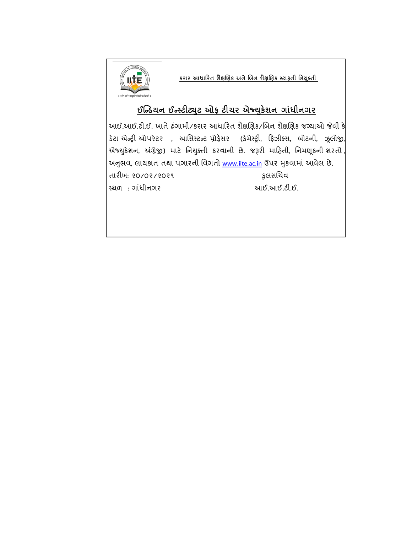

 **કરાર આધારરત શૈક્ષણિક અનેણિન શૈક્ષણિક સ્ટાફની નનયક્ુતી**

# **ઈન્ડિયન ઈડસ્ટીટયટુ ઓફ ટીચર એજ્યકુેશન ગાાંધીનગર**

આઈ.આઈ.ટી.ઈ. ખાતે હંગામી/કરાર આધારિત શૈક્ષણિક/બિન શૈક્ષણિક જગ્યાઓ જેવી કે ડેટા એન્ટ્રી ઓપરેટર, આસિસ્ટન્ટ પ્રોફેસર (કેમેસ્ટ્રી, ફિઝીક્સ, બોટની, ઝૂલોજી, એજ્યુકેશન, અંગ્રેજી) માટે નિયુક્તી કરવાની છે. જરૂરી માહિતી, નિમણૂકની શરતો, અનુભવ, લાયકાત તથા પગારની વિગતો [www.iite.ac.in](http://www.iite.ac.in/) ઉપર મુકવામાં આવેલ છે. તારીખ: ૨૦/૦૨/૨૦૨૧ કુલસચિવ સ્થ : ગાંધીનગય આઈ.આઈ.ટી.ઈ.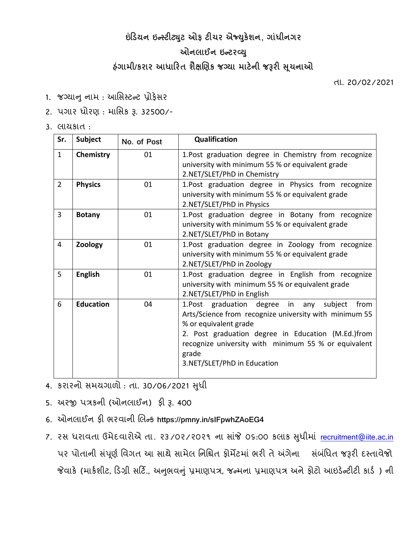#### **ઇંરિયન ઇડસ્ટીટયટુ ઓફ ટીચર એજ્યકુેશન, ગાાંધીનગર**

### **ઓનાઈન ઇડટરવ્યુ**

# **હાંગામી/કરાર આધારરત શૈક્ષણિક જગ્યા માટેની જરૂરી સચૂ નાઓ**

તા. 20/02/2021

1. જગ્યાનુ નામ: આસિસ્ટન્ટ પ્રોફેસર

#### 2. પગાર ધોરણ: માસિક રૂ. 32500/-

3. રામકાત :

| Sr.            | <b>Subject</b>   | No. of Post | Qualification                                                                                                                                                                                                                                                                                   |
|----------------|------------------|-------------|-------------------------------------------------------------------------------------------------------------------------------------------------------------------------------------------------------------------------------------------------------------------------------------------------|
| $\mathbf{1}$   | Chemistry        | 01          | 1. Post graduation degree in Chemistry from recognize<br>university with minimum 55 % or equivalent grade<br>2.NET/SLET/PhD in Chemistry                                                                                                                                                        |
| $\overline{2}$ | <b>Physics</b>   | 01          | 1. Post graduation degree in Physics from recognize<br>university with minimum 55 % or equivalent grade<br>2.NET/SLET/PhD in Physics                                                                                                                                                            |
| 3              | <b>Botany</b>    | 01          | 1. Post graduation degree in Botany from recognize<br>university with minimum 55 % or equivalent grade<br>2.NET/SLET/PhD in Botany                                                                                                                                                              |
| $\overline{4}$ | Zoology          | 01          | 1.Post graduation degree in Zoology from recognize<br>university with minimum 55 % or equivalent grade<br>2.NET/SLET/PhD in Zoology                                                                                                                                                             |
| 5              | <b>English</b>   | 01          | 1.Post graduation degree in English from recognize<br>university with minimum 55 % or equivalent grade<br>2.NET/SLET/PhD in English                                                                                                                                                             |
| 6              | <b>Education</b> | 04          | 1. Post graduation degree in<br>from<br>subject<br>any<br>Arts/Science from recognize university with minimum 55<br>% or equivalent grade<br>2. Post graduation degree in Education (M.Ed.)from<br>recognize university with minimum 55 % or equivalent<br>grade<br>3.NET/SLET/PhD in Education |

4. કયાયનો િભમગાો : તા. 30/06/2021 સધુ ી

- 5. અયજી ત્રકની (ઓનરાઈન) પી રૂ. 400
- 6. ઓનરાઈન પી બયલાની ણરન્ટ્ક **https://pmny.in/sIFpwhZAoEG4**
- 7. રસ ધરાવતા ઉમેદવારોએ તા. ૨૩/૦૨/૨૦૨૧ ના સાંજે ૦૬:૦૦ કલાક સુધીમાં [recruitment@iite.ac.in](mailto:recruitment@iite.ac.in) પર પોતાની સંપૂર્ણ વિગત આ સાથે સામેલ નિશ્ચિત ફોર્મેટમાં ભરી તે અંગેના સંબંધિત જરૂરી દસ્તાવેજો જેવાકે (માર્કશીટ, ડિગ્રી સર્ટિ., અનુભવનું પ્રમાણપત્ર, જન્મના પ્રમાણપત્ર અને ફોટો આઇડેન્ટીટી કાર્ડ ) ની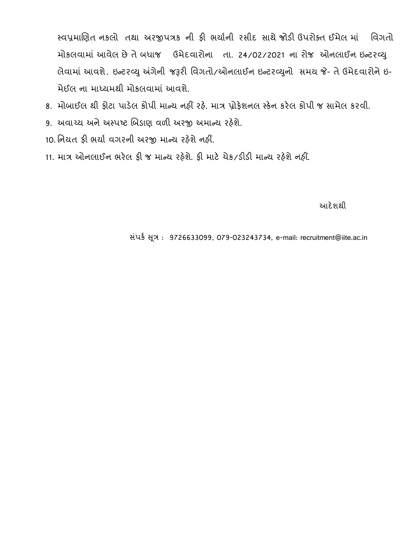સ્લપ્રભાણિત નકરો તથા અયજીત્રક ની પી બમાણની યિીદ િાથે જોડી ઉયોક્ત ઈભેર ભાં સલગતો મોકલવામાં આવેલ છે તે બધાજ ઉમેદવારોના તા. 24/02/2021 ના રોજ ઓનલાઈન ઇન્ટરવ્યુ લેવામાં આવશે. ઇન્ટરવ્યુ અંગેની જરૂરી વિગતો/ઓનલાઈન ઇન્ટરવ્યુનો સમય જે- તે ઉમેદવારોને ઇ-મેઈલ ના માધ્યમથી મોકલવામાં આવશે.

- 8. મોબાઈલ થી ફોટા પાડેલ કોપી માન્ય નહીં રહે. માત્ર પ્રોફેશનલ સ્કેન કરેલ કોપી જ સામેલ કરવી.
- 9. અવાચ્ય અને અસ્પષ્ટ બિડાણ વળી અરજી અમાન્ય રહેશે.
- 10. નિયત ફી ભર્યા વગરની અરજી માન્ય રહેશે નહીં.
- 11. ભાત્ર ઓનરાઈન બયેર પી જ ભાન્ટ્મ યહેળે. પી ભાટે િેક/ડીડી ભાન્ટ્મ યહેળે નહીં.

આદે શકો માટે કોઈ કરવામાં આવેલા આ પ્રાપ્ય થયેલ છે. આ પ્રાપ્ય થયેલ કરવામાં આવેલા આ પ્રાપ્ય થયેલ કરવામાં આવેલા આ

િ ંકણ સ ૂત્ર : 9726633099, 079-023243734, e-mail: recruitment@iite.ac.in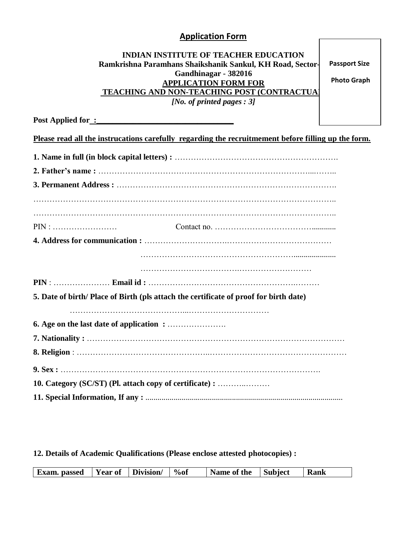#### **Application Form**

#### **INDIAN INSTITUTE OF TEACHER EDUCATION Ramkrishna Paramhans Shaikshanik Sankul, KH Road, Sector-15 Gandhinagar - 382016 APPLICATION FORM FOR TEACHING AND NON-TEACHING POST (CONTRACTUAL)** *[No. of printed pages : 3]*

 **Passport Size** 

 **Photo Graph**

Post Applied for <u>:</u>

|  |  |  |  | Please read all the instrucations carefully regarding the recruitmement before filling up the form. |  |  |
|--|--|--|--|-----------------------------------------------------------------------------------------------------|--|--|
|  |  |  |  |                                                                                                     |  |  |

| $\text{PIN}: \ldots \ldots \ldots \ldots \ldots \ldots \ldots$ |                                                                                      |
|----------------------------------------------------------------|--------------------------------------------------------------------------------------|
|                                                                |                                                                                      |
|                                                                |                                                                                      |
|                                                                |                                                                                      |
|                                                                |                                                                                      |
|                                                                | 5. Date of birth/Place of Birth (pls attach the certificate of proof for birth date) |
|                                                                |                                                                                      |
|                                                                |                                                                                      |
|                                                                |                                                                                      |
|                                                                |                                                                                      |
|                                                                |                                                                                      |
|                                                                | 10. Category (SC/ST) (Pl. attach copy of certificate) :                              |
|                                                                |                                                                                      |

#### **12. Details of Academic Qualifications (Please enclose attested photocopies) :**

| <b>Exam.</b> passed | $\mathbf{r}$<br><b>Year of</b> | Division/ | $\%of$ | Name of the | Subject | <b>Rank</b> |
|---------------------|--------------------------------|-----------|--------|-------------|---------|-------------|
|---------------------|--------------------------------|-----------|--------|-------------|---------|-------------|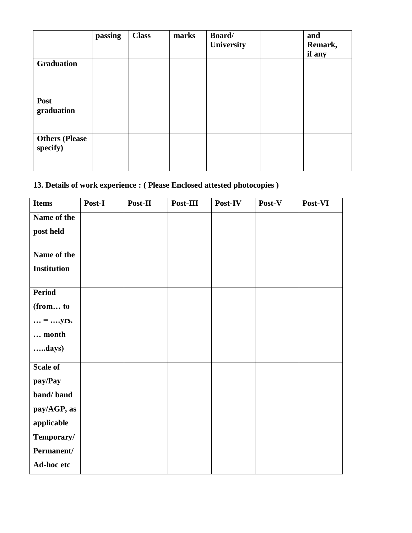|                                   | passing | <b>Class</b> | marks | Board/<br>University | and<br>Remark,<br>if any |
|-----------------------------------|---------|--------------|-------|----------------------|--------------------------|
| <b>Graduation</b>                 |         |              |       |                      |                          |
| Post<br>graduation                |         |              |       |                      |                          |
| <b>Others (Please</b><br>specify) |         |              |       |                      |                          |

### **13. Details of work experience : ( Please Enclosed attested photocopies )**

| <b>Items</b>             | Post-I | Post-II | Post-III | Post-IV | Post-V | Post-VI |
|--------------------------|--------|---------|----------|---------|--------|---------|
| Name of the              |        |         |          |         |        |         |
| post held                |        |         |          |         |        |         |
|                          |        |         |          |         |        |         |
| Name of the              |        |         |          |         |        |         |
| <b>Institution</b>       |        |         |          |         |        |         |
|                          |        |         |          |         |        |         |
| <b>Period</b>            |        |         |          |         |        |         |
| (from to                 |        |         |          |         |        |         |
| $\ldots$ = $\ldots$ yrs. |        |         |          |         |        |         |
| month                    |        |         |          |         |        |         |
| days)                    |        |         |          |         |        |         |
| Scale of                 |        |         |          |         |        |         |
| pay/Pay                  |        |         |          |         |        |         |
| band/band                |        |         |          |         |        |         |
| pay/AGP, as              |        |         |          |         |        |         |
| applicable               |        |         |          |         |        |         |
| Temporary/               |        |         |          |         |        |         |
| Permanent/               |        |         |          |         |        |         |
| Ad-hoc etc               |        |         |          |         |        |         |